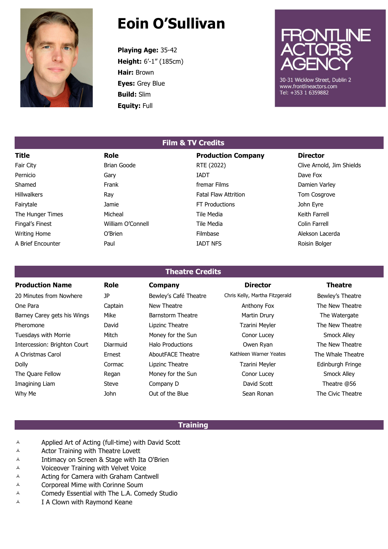

# Eoin O'Sullivan

Playing Age: 35-42 Height: 6'-1" (185cm) Hair: Brown Eyes: Grey Blue Build: Slim Equity: Full



30-31 Wicklow Street, Dublin 2 www.frontlineactors.com Tel: +353 1 6359882

## Title **Role** Role **Production Company** Director Fair City **Example 2018** Brian Goode **RTE (2022)** Clive Arnold, Jim Shields Pernicio Gary IADT Dave Fox Shamed **Frank** Frank **Frank** fremar Films **Communist Communist Communist Communist Communist Communist Communist Communist Communist Communist Communist Communist Communist Communist Communist Communist Communist Communist** Hillwalkers **Fatal Flaw Attrition Fatal Flaw Attrition Fatal Flaw Attrition Factal Flaw Attrition Tom Cosgrove** Fairytale **Fairytale** Jamie **Jamie FT Productions** FT Productions John Eyre The Hunger Times **Micheal Micheal Tile Media** Tile Media Keith Farrell Fingal's Finest **Example 20** William O'Connell **Tile Media** Tile Media Colin Farrell Writing Home **State Contract Contract Contract Contract Contract Contract Contract Contract Contract Contract Contract Contract Contract Contract Contract Contract Contract Contract Contract Contract Contract Contract Cont** A Brief Encounter **Paul IADT NFS** A Brief Encounter **Paul IADT NFS** Roisin Bolger

# Film & TV Credits

#### Theatre Credits

| <b>Production Name</b>       | Role     | <b>Company</b>           | <b>Director</b>                | <b>Theatre</b>    |
|------------------------------|----------|--------------------------|--------------------------------|-------------------|
| 20 Minutes from Nowhere      | JP       | Bewley's Café Theatre    | Chris Kelly, Martha Fitzgerald | Bewley's Theatre  |
| One Para                     | Captain  | New Theatre              | Anthony Fox                    | The New Theatre   |
| Barney Carey gets his Wings  | Mike     | Barnstorm Theatre        | Martin Drury                   | The Watergate     |
| Pheromone                    | David    | Lipzinc Theatre          | Tzarini Meyler                 | The New Theatre   |
| Tuesdays with Morrie         | Mitch    | Money for the Sun        | Conor Lucey                    | Smock Alley       |
| Intercession: Brighton Court | Diarmuid | <b>Halo Productions</b>  | Owen Ryan                      | The New Theatre   |
| A Christmas Carol            | Ernest   | <b>AboutFACE Theatre</b> | Kathleen Warner Yeates         | The Whale Theatre |
| <b>Dolly</b>                 | Cormac   | Lipzinc Theatre          | <b>Tzarini Meyler</b>          | Edinburgh Fringe  |
| The Quare Fellow             | Regan    | Money for the Sun        | Conor Lucey                    | Smock Alley       |
| Imagining Liam               | Steve    | Company D                | David Scott                    | Theatre @56       |
| Why Me                       | John     | Out of the Blue          | Sean Ronan                     | The Civic Theatre |

#### **Training**

- $\lambda$  Applied Art of Acting (full-time) with David Scott
- $\lambda$  Actor Training with Theatre Lovett
- A Intimacy on Screen & Stage with Ita O'Brien
- Voiceover Training with Velvet Voice
- $\overline{A}$  Acting for Camera with Graham Cantwell
- Corporeal Mime with Corinne Soum
- A Comedy Essential with The L.A. Comedy Studio
- $\overline{A}$  I A Clown with Raymond Keane